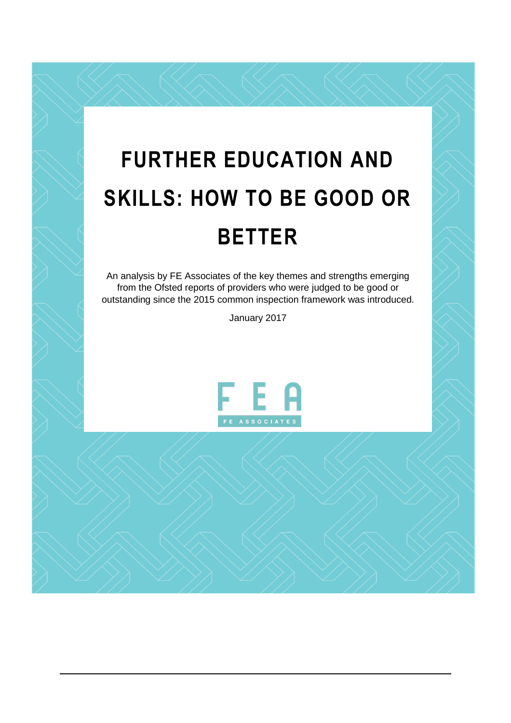# **FURTHER EDUCATION AND SKILLS: HOW TO BE GOOD OR BETTER**

An analysis by FE Associates of the key themes and strengths emerging from the Ofsted reports of providers who were judged to be good or outstanding since the 2015 common inspection framework was introduced.

January 2017

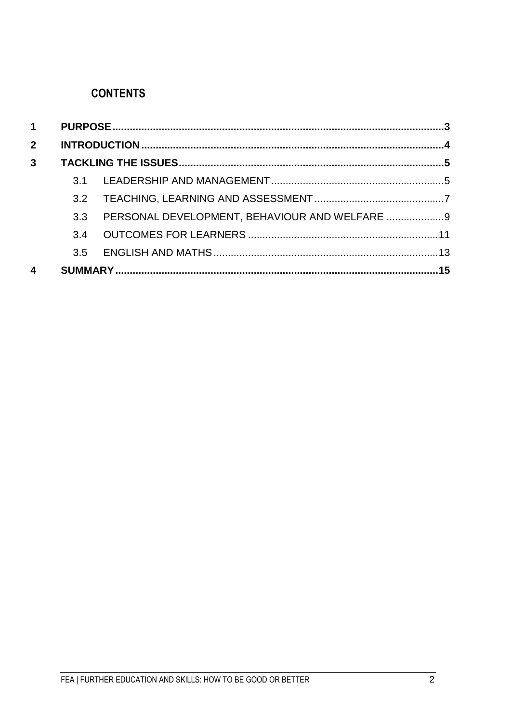# **CONTENTS**

| $\mathbf 1$    |     |                                               |  |
|----------------|-----|-----------------------------------------------|--|
| 2 <sup>1</sup> |     |                                               |  |
| $\overline{3}$ |     |                                               |  |
|                |     |                                               |  |
|                | 3.2 |                                               |  |
|                | 3.3 | PERSONAL DEVELOPMENT, BEHAVIOUR AND WELFARE 9 |  |
|                | 3.4 |                                               |  |
|                | 3.5 |                                               |  |
| 4              |     |                                               |  |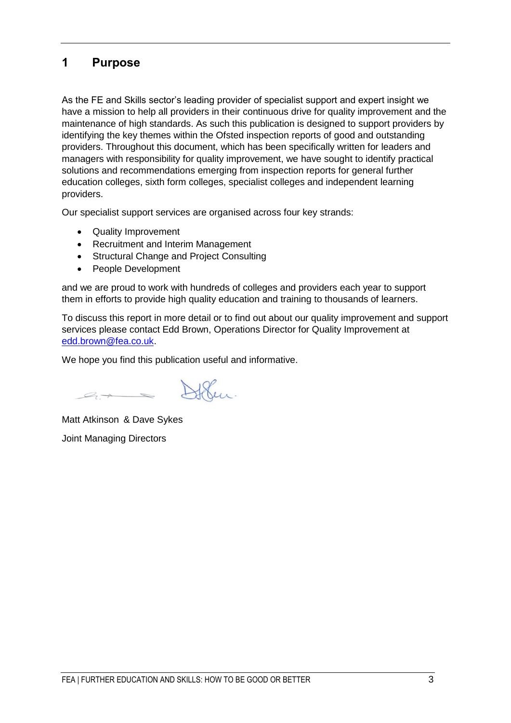## <span id="page-2-0"></span>**1 Purpose**

As the FE and Skills sector's leading provider of specialist support and expert insight we have a mission to help all providers in their continuous drive for quality improvement and the maintenance of high standards. As such this publication is designed to support providers by identifying the key themes within the Ofsted inspection reports of good and outstanding providers. Throughout this document, which has been specifically written for leaders and managers with responsibility for quality improvement, we have sought to identify practical solutions and recommendations emerging from inspection reports for general further education colleges, sixth form colleges, specialist colleges and independent learning providers.

Our specialist support services are organised across four key strands:

- Quality Improvement
- Recruitment and Interim Management
- Structural Change and Project Consulting
- People Development

and we are proud to work with hundreds of colleges and providers each year to support them in efforts to provide high quality education and training to thousands of learners.

To discuss this report in more detail or to find out about our quality improvement and support services please contact Edd Brown, Operations Director for Quality Improvement at [edd.brown@fea.co.uk.](mailto:edd.brown@fea.co.uk)

We hope you find this publication useful and informative.

Matt Atkinson & Dave Sykes Joint Managing Directors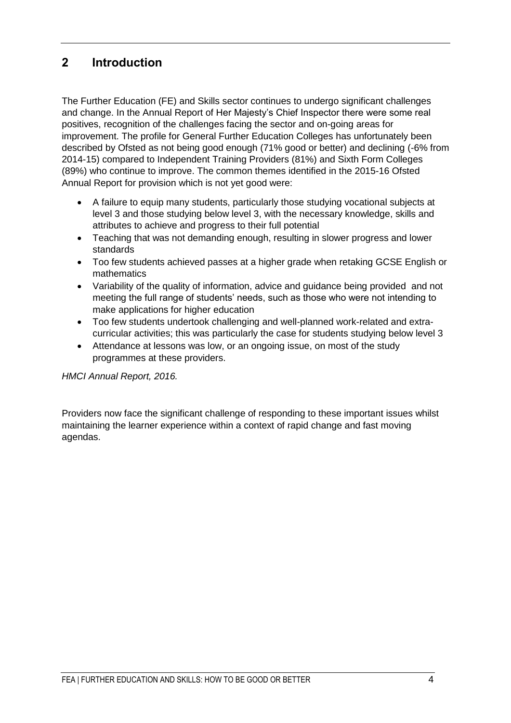# <span id="page-3-0"></span>**2 Introduction**

The Further Education (FE) and Skills sector continues to undergo significant challenges and change. In the Annual Report of Her Majesty's Chief Inspector there were some real positives, recognition of the challenges facing the sector and on-going areas for improvement. The profile for General Further Education Colleges has unfortunately been described by Ofsted as not being good enough (71% good or better) and declining (-6% from 2014-15) compared to Independent Training Providers (81%) and Sixth Form Colleges (89%) who continue to improve. The common themes identified in the 2015-16 Ofsted Annual Report for provision which is not yet good were:

- A failure to equip many students, particularly those studying vocational subjects at level 3 and those studying below level 3, with the necessary knowledge, skills and attributes to achieve and progress to their full potential
- Teaching that was not demanding enough, resulting in slower progress and lower standards
- Too few students achieved passes at a higher grade when retaking GCSE English or mathematics
- Variability of the quality of information, advice and guidance being provided and not meeting the full range of students' needs, such as those who were not intending to make applications for higher education
- Too few students undertook challenging and well-planned work-related and extracurricular activities; this was particularly the case for students studying below level 3
- Attendance at lessons was low, or an ongoing issue, on most of the study programmes at these providers.

*HMCI Annual Report, 2016.* 

Providers now face the significant challenge of responding to these important issues whilst maintaining the learner experience within a context of rapid change and fast moving agendas.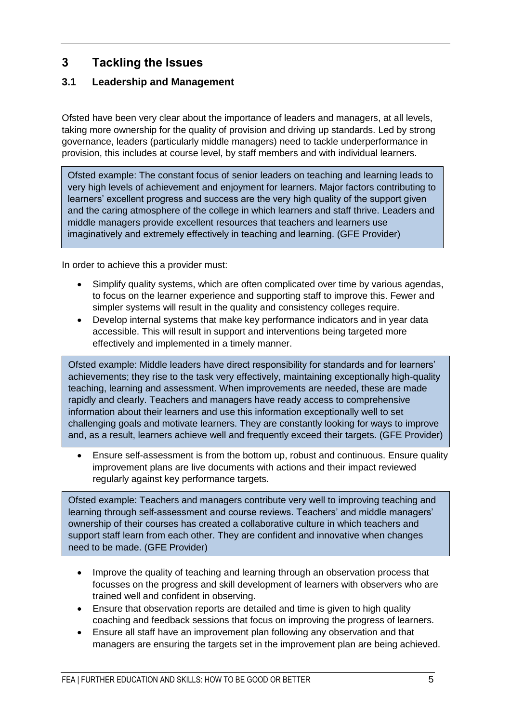# <span id="page-4-0"></span>**3 Tackling the Issues**

## <span id="page-4-1"></span>**3.1 Leadership and Management**

Ofsted have been very clear about the importance of leaders and managers, at all levels, taking more ownership for the quality of provision and driving up standards. Led by strong governance, leaders (particularly middle managers) need to tackle underperformance in provision, this includes at course level, by staff members and with individual learners.

Ofsted example: The constant focus of senior leaders on teaching and learning leads to very high levels of achievement and enjoyment for learners. Major factors contributing to learners' excellent progress and success are the very high quality of the support given and the caring atmosphere of the college in which learners and staff thrive. Leaders and middle managers provide excellent resources that teachers and learners use imaginatively and extremely effectively in teaching and learning. (GFE Provider)

In order to achieve this a provider must:

- Simplify quality systems, which are often complicated over time by various agendas, to focus on the learner experience and supporting staff to improve this. Fewer and simpler systems will result in the quality and consistency colleges require.
- Develop internal systems that make key performance indicators and in year data accessible. This will result in support and interventions being targeted more effectively and implemented in a timely manner.

Ofsted example: Middle leaders have direct responsibility for standards and for learners' achievements; they rise to the task very effectively, maintaining exceptionally high-quality teaching, learning and assessment. When improvements are needed, these are made rapidly and clearly. Teachers and managers have ready access to comprehensive information about their learners and use this information exceptionally well to set challenging goals and motivate learners. They are constantly looking for ways to improve and, as a result, learners achieve well and frequently exceed their targets. (GFE Provider)

 Ensure self-assessment is from the bottom up, robust and continuous. Ensure quality improvement plans are live documents with actions and their impact reviewed regularly against key performance targets.

Ofsted example: Teachers and managers contribute very well to improving teaching and learning through self-assessment and course reviews. Teachers' and middle managers' ownership of their courses has created a collaborative culture in which teachers and support staff learn from each other. They are confident and innovative when changes need to be made. (GFE Provider)

- Improve the quality of teaching and learning through an observation process that focusses on the progress and skill development of learners with observers who are trained well and confident in observing.
- Ensure that observation reports are detailed and time is given to high quality coaching and feedback sessions that focus on improving the progress of learners.
- Ensure all staff have an improvement plan following any observation and that managers are ensuring the targets set in the improvement plan are being achieved.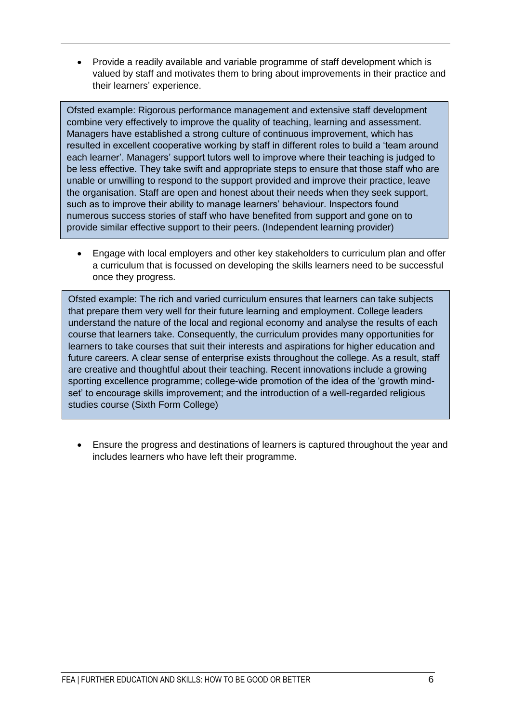Provide a readily available and variable programme of staff development which is valued by staff and motivates them to bring about improvements in their practice and their learners' experience.

Ofsted example: Rigorous performance management and extensive staff development combine very effectively to improve the quality of teaching, learning and assessment. Managers have established a strong culture of continuous improvement, which has resulted in excellent cooperative working by staff in different roles to build a 'team around each learner'. Managers' support tutors well to improve where their teaching is judged to be less effective. They take swift and appropriate steps to ensure that those staff who are unable or unwilling to respond to the support provided and improve their practice, leave the organisation. Staff are open and honest about their needs when they seek support, such as to improve their ability to manage learners' behaviour. Inspectors found numerous success stories of staff who have benefited from support and gone on to provide similar effective support to their peers. (Independent learning provider)

 Engage with local employers and other key stakeholders to curriculum plan and offer a curriculum that is focussed on developing the skills learners need to be successful once they progress.

Ofsted example: The rich and varied curriculum ensures that learners can take subjects that prepare them very well for their future learning and employment. College leaders understand the nature of the local and regional economy and analyse the results of each course that learners take. Consequently, the curriculum provides many opportunities for learners to take courses that suit their interests and aspirations for higher education and future careers. A clear sense of enterprise exists throughout the college. As a result, staff are creative and thoughtful about their teaching. Recent innovations include a growing sporting excellence programme; college-wide promotion of the idea of the 'growth mindset' to encourage skills improvement; and the introduction of a well-regarded religious studies course (Sixth Form College)

 Ensure the progress and destinations of learners is captured throughout the year and includes learners who have left their programme.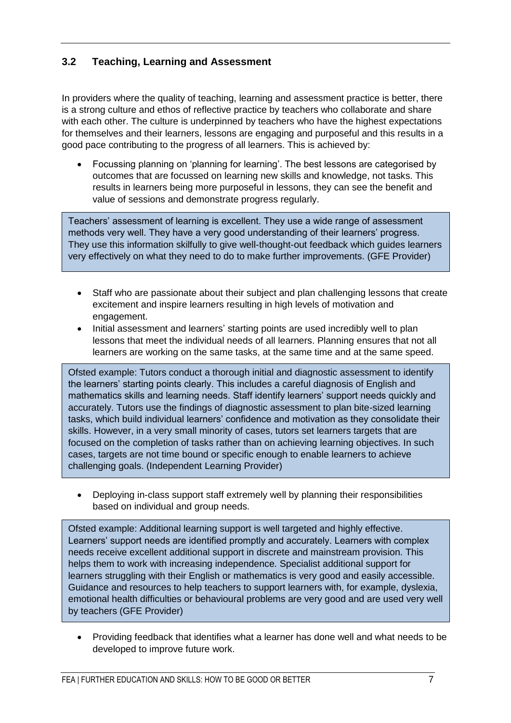## <span id="page-6-0"></span>**3.2 Teaching, Learning and Assessment**

In providers where the quality of teaching, learning and assessment practice is better, there is a strong culture and ethos of reflective practice by teachers who collaborate and share with each other. The culture is underpinned by teachers who have the highest expectations for themselves and their learners, lessons are engaging and purposeful and this results in a good pace contributing to the progress of all learners. This is achieved by:

 Focussing planning on 'planning for learning'. The best lessons are categorised by outcomes that are focussed on learning new skills and knowledge, not tasks. This results in learners being more purposeful in lessons, they can see the benefit and value of sessions and demonstrate progress regularly.

Teachers' assessment of learning is excellent. They use a wide range of assessment methods very well. They have a very good understanding of their learners' progress. They use this information skilfully to give well-thought-out feedback which guides learners very effectively on what they need to do to make further improvements. (GFE Provider)

- Staff who are passionate about their subject and plan challenging lessons that create excitement and inspire learners resulting in high levels of motivation and engagement.
- Initial assessment and learners' starting points are used incredibly well to plan lessons that meet the individual needs of all learners. Planning ensures that not all learners are working on the same tasks, at the same time and at the same speed.

Ofsted example: Tutors conduct a thorough initial and diagnostic assessment to identify the learners' starting points clearly. This includes a careful diagnosis of English and mathematics skills and learning needs. Staff identify learners' support needs quickly and accurately. Tutors use the findings of diagnostic assessment to plan bite-sized learning tasks, which build individual learners' confidence and motivation as they consolidate their skills. However, in a very small minority of cases, tutors set learners targets that are focused on the completion of tasks rather than on achieving learning objectives. In such cases, targets are not time bound or specific enough to enable learners to achieve challenging goals. (Independent Learning Provider)

 Deploying in-class support staff extremely well by planning their responsibilities based on individual and group needs.

Ofsted example: Additional learning support is well targeted and highly effective. Learners' support needs are identified promptly and accurately. Learners with complex needs receive excellent additional support in discrete and mainstream provision. This helps them to work with increasing independence. Specialist additional support for learners struggling with their English or mathematics is very good and easily accessible. Guidance and resources to help teachers to support learners with, for example, dyslexia, emotional health difficulties or behavioural problems are very good and are used very well by teachers (GFE Provider)

 Providing feedback that identifies what a learner has done well and what needs to be developed to improve future work.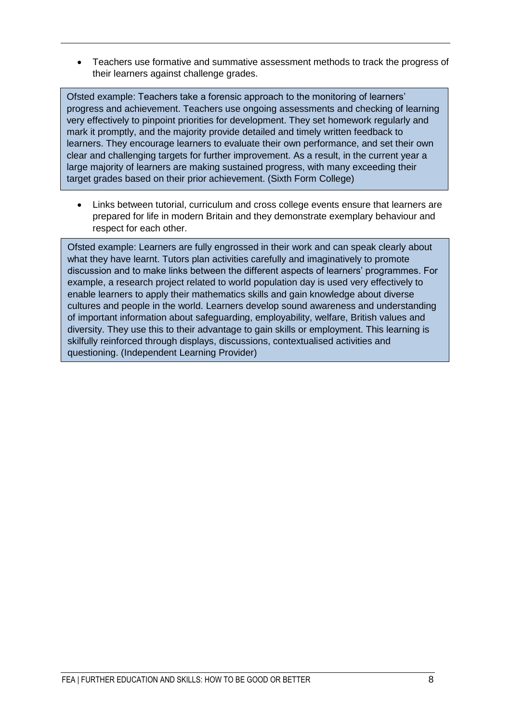Teachers use formative and summative assessment methods to track the progress of their learners against challenge grades.

Ofsted example: Teachers take a forensic approach to the monitoring of learners' progress and achievement. Teachers use ongoing assessments and checking of learning very effectively to pinpoint priorities for development. They set homework regularly and mark it promptly, and the majority provide detailed and timely written feedback to learners. They encourage learners to evaluate their own performance, and set their own clear and challenging targets for further improvement. As a result, in the current year a large majority of learners are making sustained progress, with many exceeding their target grades based on their prior achievement. (Sixth Form College)

 Links between tutorial, curriculum and cross college events ensure that learners are prepared for life in modern Britain and they demonstrate exemplary behaviour and respect for each other.

Ofsted example: Learners are fully engrossed in their work and can speak clearly about what they have learnt. Tutors plan activities carefully and imaginatively to promote discussion and to make links between the different aspects of learners' programmes. For example, a research project related to world population day is used very effectively to enable learners to apply their mathematics skills and gain knowledge about diverse cultures and people in the world. Learners develop sound awareness and understanding of important information about safeguarding, employability, welfare, British values and diversity. They use this to their advantage to gain skills or employment. This learning is skilfully reinforced through displays, discussions, contextualised activities and questioning. (Independent Learning Provider)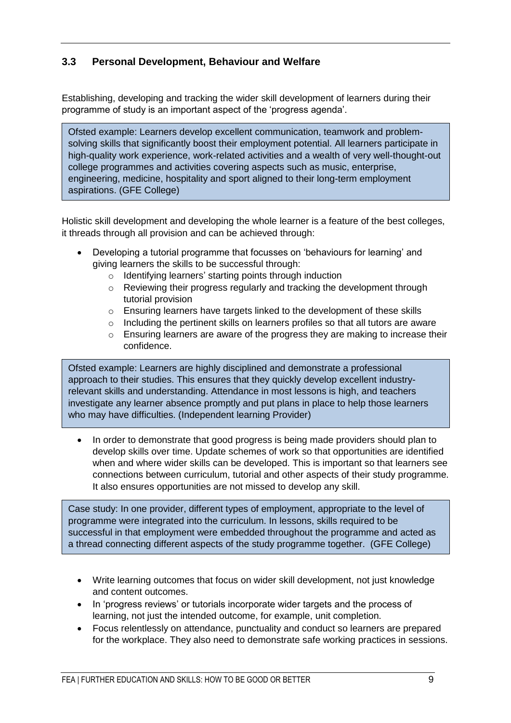## <span id="page-8-0"></span>**3.3 Personal Development, Behaviour and Welfare**

Establishing, developing and tracking the wider skill development of learners during their programme of study is an important aspect of the 'progress agenda'.

Ofsted example: Learners develop excellent communication, teamwork and problemsolving skills that significantly boost their employment potential. All learners participate in high-quality work experience, work-related activities and a wealth of very well-thought-out college programmes and activities covering aspects such as music, enterprise, engineering, medicine, hospitality and sport aligned to their long-term employment aspirations. (GFE College)

Holistic skill development and developing the whole learner is a feature of the best colleges, it threads through all provision and can be achieved through:

- Developing a tutorial programme that focusses on 'behaviours for learning' and giving learners the skills to be successful through:
	- o Identifying learners' starting points through induction
	- o Reviewing their progress regularly and tracking the development through tutorial provision
	- o Ensuring learners have targets linked to the development of these skills
	- o Including the pertinent skills on learners profiles so that all tutors are aware
	- o Ensuring learners are aware of the progress they are making to increase their confidence.

Ofsted example: Learners are highly disciplined and demonstrate a professional approach to their studies. This ensures that they quickly develop excellent industryrelevant skills and understanding. Attendance in most lessons is high, and teachers investigate any learner absence promptly and put plans in place to help those learners who may have difficulties. (Independent learning Provider)

• In order to demonstrate that good progress is being made providers should plan to develop skills over time. Update schemes of work so that opportunities are identified when and where wider skills can be developed. This is important so that learners see connections between curriculum, tutorial and other aspects of their study programme. It also ensures opportunities are not missed to develop any skill.

Case study: In one provider, different types of employment, appropriate to the level of programme were integrated into the curriculum. In lessons, skills required to be successful in that employment were embedded throughout the programme and acted as a thread connecting different aspects of the study programme together. (GFE College)

- Write learning outcomes that focus on wider skill development, not just knowledge and content outcomes.
- In 'progress reviews' or tutorials incorporate wider targets and the process of learning, not just the intended outcome, for example, unit completion.
- Focus relentlessly on attendance, punctuality and conduct so learners are prepared for the workplace. They also need to demonstrate safe working practices in sessions.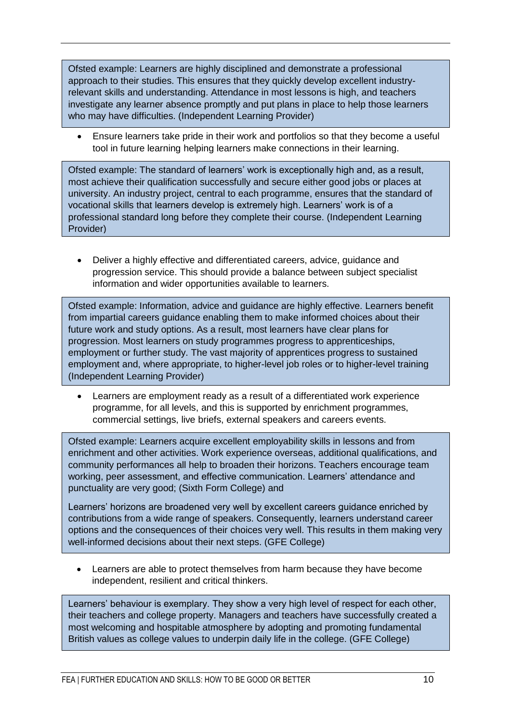Ofsted example: Learners are highly disciplined and demonstrate a professional approach to their studies. This ensures that they quickly develop excellent industryrelevant skills and understanding. Attendance in most lessons is high, and teachers investigate any learner absence promptly and put plans in place to help those learners who may have difficulties. (Independent Learning Provider)

 Ensure learners take pride in their work and portfolios so that they become a useful tool in future learning helping learners make connections in their learning.

Ofsted example: The standard of learners' work is exceptionally high and, as a result, most achieve their qualification successfully and secure either good jobs or places at university. An industry project, central to each programme, ensures that the standard of vocational skills that learners develop is extremely high. Learners' work is of a professional standard long before they complete their course. (Independent Learning Provider)

 Deliver a highly effective and differentiated careers, advice, guidance and progression service. This should provide a balance between subject specialist information and wider opportunities available to learners.

Ofsted example: Information, advice and guidance are highly effective. Learners benefit from impartial careers guidance enabling them to make informed choices about their future work and study options. As a result, most learners have clear plans for progression. Most learners on study programmes progress to apprenticeships, employment or further study. The vast majority of apprentices progress to sustained employment and, where appropriate, to higher-level job roles or to higher-level training (Independent Learning Provider)

 Learners are employment ready as a result of a differentiated work experience programme, for all levels, and this is supported by enrichment programmes, commercial settings, live briefs, external speakers and careers events.

Ofsted example: Learners acquire excellent employability skills in lessons and from enrichment and other activities. Work experience overseas, additional qualifications, and community performances all help to broaden their horizons. Teachers encourage team working, peer assessment, and effective communication. Learners' attendance and punctuality are very good; (Sixth Form College) and

Learners' horizons are broadened very well by excellent careers guidance enriched by contributions from a wide range of speakers. Consequently, learners understand career options and the consequences of their choices very well. This results in them making very well-informed decisions about their next steps. (GFE College)

 Learners are able to protect themselves from harm because they have become independent, resilient and critical thinkers.

Learners' behaviour is exemplary. They show a very high level of respect for each other, their teachers and college property. Managers and teachers have successfully created a most welcoming and hospitable atmosphere by adopting and promoting fundamental British values as college values to underpin daily life in the college. (GFE College)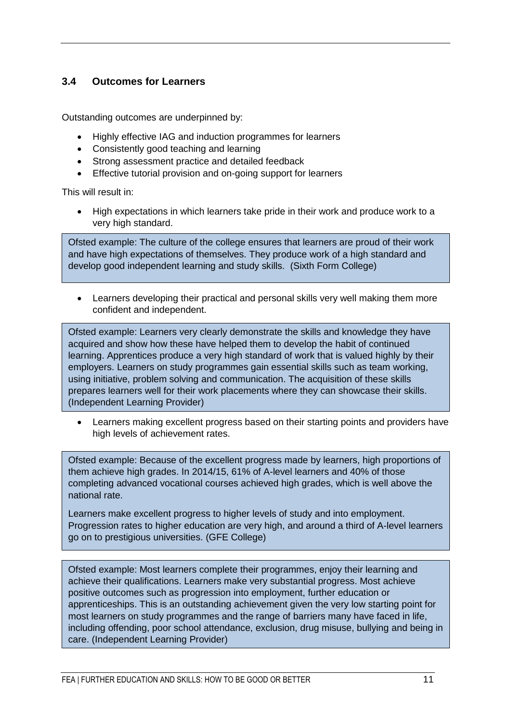#### <span id="page-10-0"></span>**3.4 Outcomes for Learners**

Outstanding outcomes are underpinned by:

- Highly effective IAG and induction programmes for learners
- Consistently good teaching and learning
- Strong assessment practice and detailed feedback
- **Effective tutorial provision and on-going support for learners**

This will result in:

 High expectations in which learners take pride in their work and produce work to a very high standard.

Ofsted example: The culture of the college ensures that learners are proud of their work and have high expectations of themselves. They produce work of a high standard and develop good independent learning and study skills. (Sixth Form College)

 Learners developing their practical and personal skills very well making them more confident and independent.

Ofsted example: Learners very clearly demonstrate the skills and knowledge they have acquired and show how these have helped them to develop the habit of continued learning. Apprentices produce a very high standard of work that is valued highly by their employers. Learners on study programmes gain essential skills such as team working, using initiative, problem solving and communication. The acquisition of these skills prepares learners well for their work placements where they can showcase their skills. (Independent Learning Provider)

 Learners making excellent progress based on their starting points and providers have high levels of achievement rates.

Ofsted example: Because of the excellent progress made by learners, high proportions of them achieve high grades. In 2014/15, 61% of A-level learners and 40% of those completing advanced vocational courses achieved high grades, which is well above the national rate.

Learners make excellent progress to higher levels of study and into employment. Progression rates to higher education are very high, and around a third of A-level learners go on to prestigious universities. (GFE College)

Ofsted example: Most learners complete their programmes, enjoy their learning and achieve their qualifications. Learners make very substantial progress. Most achieve positive outcomes such as progression into employment, further education or apprenticeships. This is an outstanding achievement given the very low starting point for most learners on study programmes and the range of barriers many have faced in life, including offending, poor school attendance, exclusion, drug misuse, bullying and being in care. (Independent Learning Provider)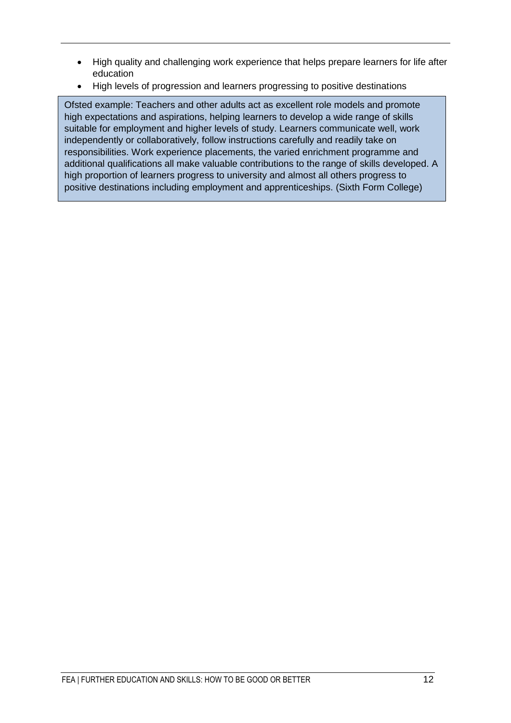- High quality and challenging work experience that helps prepare learners for life after education
- High levels of progression and learners progressing to positive destinations

Ofsted example: Teachers and other adults act as excellent role models and promote high expectations and aspirations, helping learners to develop a wide range of skills suitable for employment and higher levels of study. Learners communicate well, work independently or collaboratively, follow instructions carefully and readily take on responsibilities. Work experience placements, the varied enrichment programme and additional qualifications all make valuable contributions to the range of skills developed. A high proportion of learners progress to university and almost all others progress to positive destinations including employment and apprenticeships. (Sixth Form College)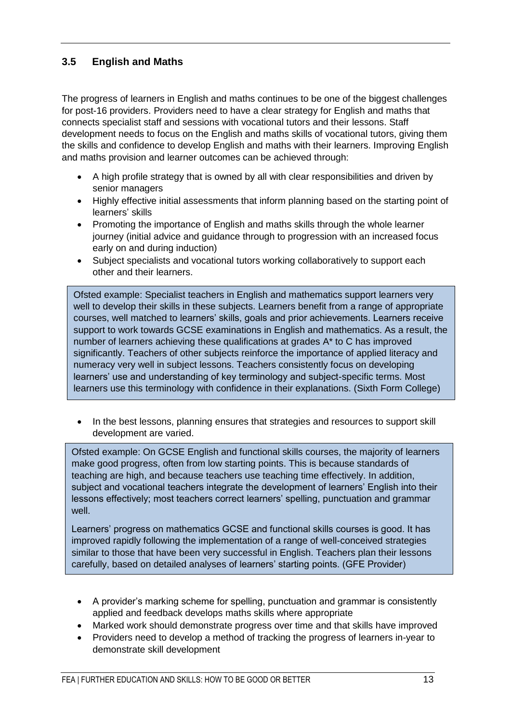## <span id="page-12-0"></span>**3.5 English and Maths**

The progress of learners in English and maths continues to be one of the biggest challenges for post-16 providers. Providers need to have a clear strategy for English and maths that connects specialist staff and sessions with vocational tutors and their lessons. Staff development needs to focus on the English and maths skills of vocational tutors, giving them the skills and confidence to develop English and maths with their learners. Improving English and maths provision and learner outcomes can be achieved through:

- A high profile strategy that is owned by all with clear responsibilities and driven by senior managers
- Highly effective initial assessments that inform planning based on the starting point of learners' skills
- Promoting the importance of English and maths skills through the whole learner journey (initial advice and guidance through to progression with an increased focus early on and during induction)
- Subject specialists and vocational tutors working collaboratively to support each other and their learners.

Ofsted example: Specialist teachers in English and mathematics support learners very well to develop their skills in these subjects. Learners benefit from a range of appropriate courses, well matched to learners' skills, goals and prior achievements. Learners receive support to work towards GCSE examinations in English and mathematics. As a result, the number of learners achieving these qualifications at grades A\* to C has improved significantly. Teachers of other subjects reinforce the importance of applied literacy and numeracy very well in subject lessons. Teachers consistently focus on developing learners' use and understanding of key terminology and subject-specific terms. Most learners use this terminology with confidence in their explanations. (Sixth Form College)

 In the best lessons, planning ensures that strategies and resources to support skill development are varied.

Ofsted example: On GCSE English and functional skills courses, the majority of learners make good progress, often from low starting points. This is because standards of teaching are high, and because teachers use teaching time effectively. In addition, subject and vocational teachers integrate the development of learners' English into their lessons effectively; most teachers correct learners' spelling, punctuation and grammar well.

Learners' progress on mathematics GCSE and functional skills courses is good. It has improved rapidly following the implementation of a range of well-conceived strategies similar to those that have been very successful in English. Teachers plan their lessons carefully, based on detailed analyses of learners' starting points. (GFE Provider)

- A provider's marking scheme for spelling, punctuation and grammar is consistently applied and feedback develops maths skills where appropriate
- Marked work should demonstrate progress over time and that skills have improved
- Providers need to develop a method of tracking the progress of learners in-year to demonstrate skill development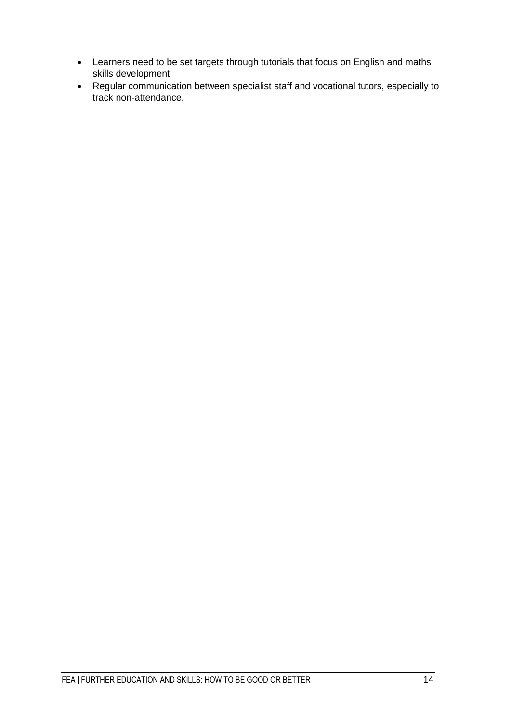- Learners need to be set targets through tutorials that focus on English and maths skills development
- Regular communication between specialist staff and vocational tutors, especially to track non-attendance.